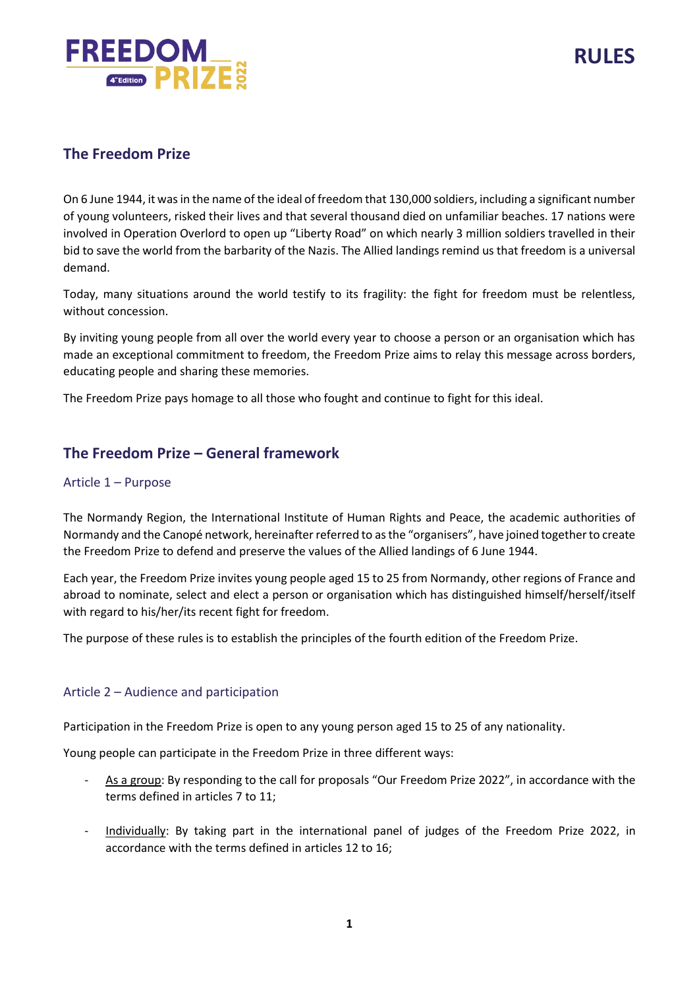

# **The Freedom Prize**

On 6 June 1944, it was in the name of the ideal of freedom that 130,000 soldiers, including a significant number of young volunteers, risked their lives and that several thousand died on unfamiliar beaches. 17 nations were involved in Operation Overlord to open up "Liberty Road" on which nearly 3 million soldiers travelled in their bid to save the world from the barbarity of the Nazis. The Allied landings remind us that freedom is a universal demand.

Today, many situations around the world testify to its fragility: the fight for freedom must be relentless, without concession.

By inviting young people from all over the world every year to choose a person or an organisation which has made an exceptional commitment to freedom, the Freedom Prize aims to relay this message across borders, educating people and sharing these memories.

The Freedom Prize pays homage to all those who fought and continue to fight for this ideal.

# **The Freedom Prize – General framework**

## Article 1 – Purpose

The Normandy Region, the International Institute of Human Rights and Peace, the academic authorities of Normandy and the Canopé network, hereinafter referred to as the "organisers", have joined together to create the Freedom Prize to defend and preserve the values of the Allied landings of 6 June 1944.

Each year, the Freedom Prize invites young people aged 15 to 25 from Normandy, other regions of France and abroad to nominate, select and elect a person or organisation which has distinguished himself/herself/itself with regard to his/her/its recent fight for freedom.

The purpose of these rules is to establish the principles of the fourth edition of the Freedom Prize.

## Article 2 – Audience and participation

Participation in the Freedom Prize is open to any young person aged 15 to 25 of any nationality.

Young people can participate in the Freedom Prize in three different ways:

- As a group: By responding to the call for proposals "Our Freedom Prize 2022", in accordance with the terms defined in articles 7 to 11;
- Individually: By taking part in the international panel of judges of the Freedom Prize 2022, in accordance with the terms defined in articles 12 to 16;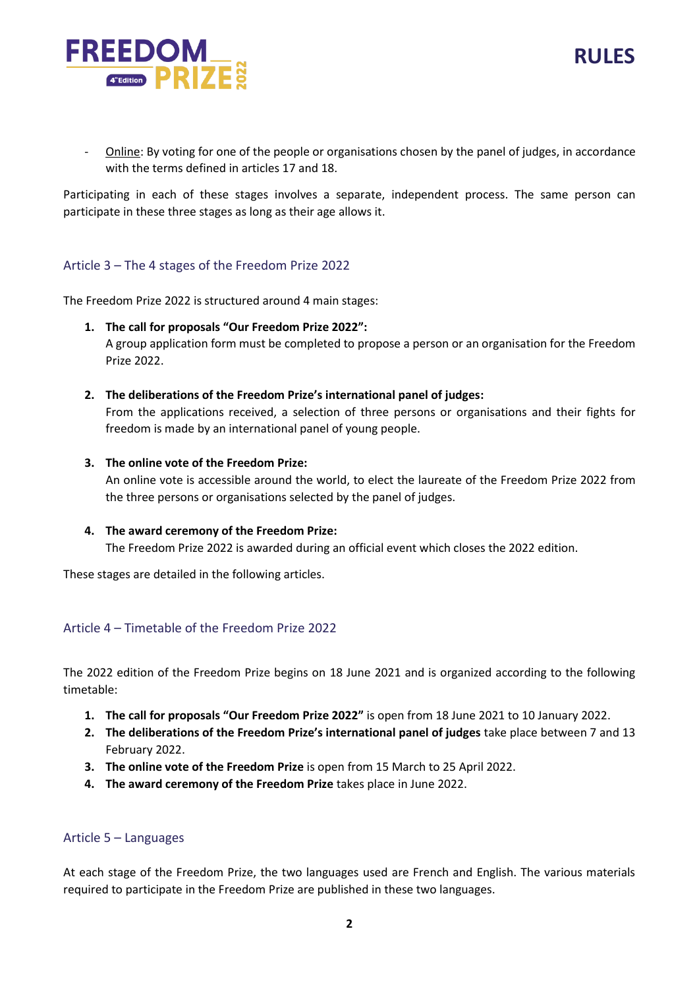



- Online: By voting for one of the people or organisations chosen by the panel of judges, in accordance with the terms defined in articles 17 and 18.

Participating in each of these stages involves a separate, independent process. The same person can participate in these three stages as long as their age allows it.

## Article 3 – The 4 stages of the Freedom Prize 2022

The Freedom Prize 2022 is structured around 4 main stages:

- **1. The call for proposals "Our Freedom Prize 2022":** A group application form must be completed to propose a person or an organisation for the Freedom Prize 2022.
- **2. The deliberations of the Freedom Prize's international panel of judges:**

From the applications received, a selection of three persons or organisations and their fights for freedom is made by an international panel of young people.

**3. The online vote of the Freedom Prize:**

An online vote is accessible around the world, to elect the laureate of the Freedom Prize 2022 from the three persons or organisations selected by the panel of judges.

**4. The award ceremony of the Freedom Prize:**

The Freedom Prize 2022 is awarded during an official event which closes the 2022 edition.

These stages are detailed in the following articles.

#### Article 4 – Timetable of the Freedom Prize 2022

The 2022 edition of the Freedom Prize begins on 18 June 2021 and is organized according to the following timetable:

- **1. The call for proposals "Our Freedom Prize 2022"** is open from 18 June 2021 to 10 January 2022.
- **2. The deliberations of the Freedom Prize's international panel of judges** take place between 7 and 13 February 2022.
- **3. The online vote of the Freedom Prize** is open from 15 March to 25 April 2022.
- **4. The award ceremony of the Freedom Prize** takes place in June 2022.

## Article 5 – Languages

At each stage of the Freedom Prize, the two languages used are French and English. The various materials required to participate in the Freedom Prize are published in these two languages.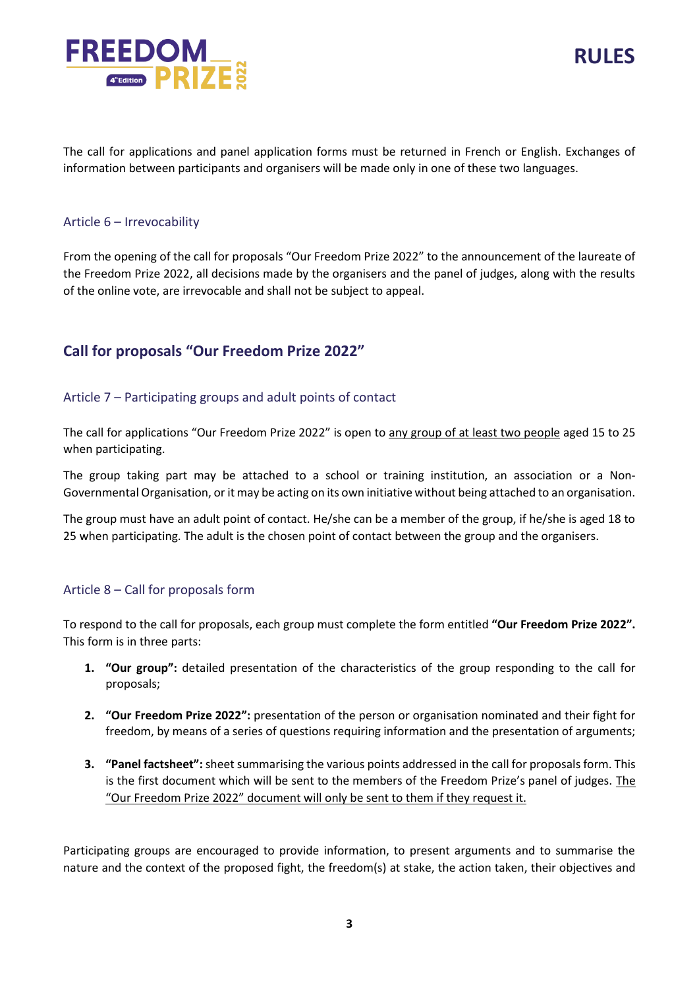

**RULES**

The call for applications and panel application forms must be returned in French or English. Exchanges of information between participants and organisers will be made only in one of these two languages.

#### Article 6 – Irrevocability

From the opening of the call for proposals "Our Freedom Prize 2022" to the announcement of the laureate of the Freedom Prize 2022, all decisions made by the organisers and the panel of judges, along with the results of the online vote, are irrevocable and shall not be subject to appeal.

# **Call for proposals "Our Freedom Prize 2022"**

## Article 7 – Participating groups and adult points of contact

The call for applications "Our Freedom Prize 2022" is open to any group of at least two people aged 15 to 25 when participating.

The group taking part may be attached to a school or training institution, an association or a Non-Governmental Organisation, or it may be acting on its own initiative without being attached to an organisation.

The group must have an adult point of contact. He/she can be a member of the group, if he/she is aged 18 to 25 when participating. The adult is the chosen point of contact between the group and the organisers.

## Article 8 – Call for proposals form

To respond to the call for proposals, each group must complete the form entitled **"Our Freedom Prize 2022".** This form is in three parts:

- **1. "Our group":** detailed presentation of the characteristics of the group responding to the call for proposals;
- **2. "Our Freedom Prize 2022":** presentation of the person or organisation nominated and their fight for freedom, by means of a series of questions requiring information and the presentation of arguments;
- **3. "Panel factsheet":** sheet summarising the various points addressed in the call for proposals form. This is the first document which will be sent to the members of the Freedom Prize's panel of judges. The "Our Freedom Prize 2022" document will only be sent to them if they request it.

Participating groups are encouraged to provide information, to present arguments and to summarise the nature and the context of the proposed fight, the freedom(s) at stake, the action taken, their objectives and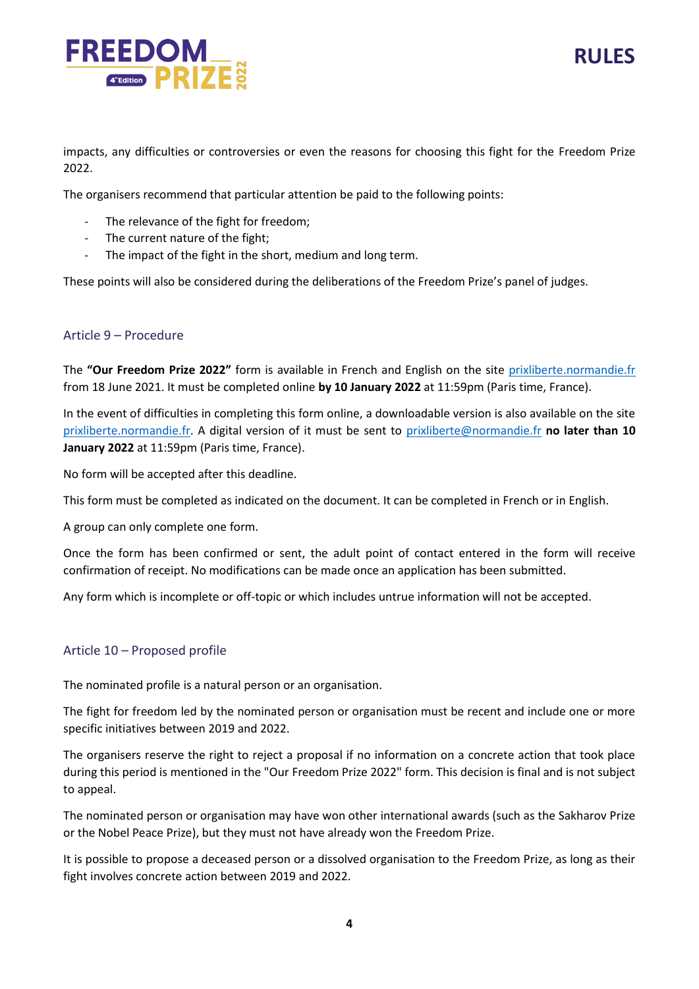

impacts, any difficulties or controversies or even the reasons for choosing this fight for the Freedom Prize 2022.

The organisers recommend that particular attention be paid to the following points:

- The relevance of the fight for freedom;
- The current nature of the fight;
- The impact of the fight in the short, medium and long term.

These points will also be considered during the deliberations of the Freedom Prize's panel of judges.

## Article 9 – Procedure

The **"Our Freedom Prize 2022"** form is available in French and English on the site [prixliberte.normandie.fr](https://normandiepourlapaix.fr/en/presentation-prize) from 18 June 2021. It must be completed online **by 10 January 2022** at 11:59pm (Paris time, France).

In the event of difficulties in completing this form online, a downloadable version is also available on the site [prixliberte.normandie.fr.](https://normandiepourlapaix.fr/en/presentation-prize) A digital version of it must be sent to [prixliberte@normandie.fr](mailto:prixliberte@normandie.fr) **no later than 10 January 2022** at 11:59pm (Paris time, France).

No form will be accepted after this deadline.

This form must be completed as indicated on the document. It can be completed in French or in English.

A group can only complete one form.

Once the form has been confirmed or sent, the adult point of contact entered in the form will receive confirmation of receipt. No modifications can be made once an application has been submitted.

Any form which is incomplete or off-topic or which includes untrue information will not be accepted.

#### Article 10 – Proposed profile

The nominated profile is a natural person or an organisation.

The fight for freedom led by the nominated person or organisation must be recent and include one or more specific initiatives between 2019 and 2022.

The organisers reserve the right to reject a proposal if no information on a concrete action that took place during this period is mentioned in the "Our Freedom Prize 2022" form. This decision is final and is not subject to appeal.

The nominated person or organisation may have won other international awards (such as the Sakharov Prize or the Nobel Peace Prize), but they must not have already won the Freedom Prize.

It is possible to propose a deceased person or a dissolved organisation to the Freedom Prize, as long as their fight involves concrete action between 2019 and 2022.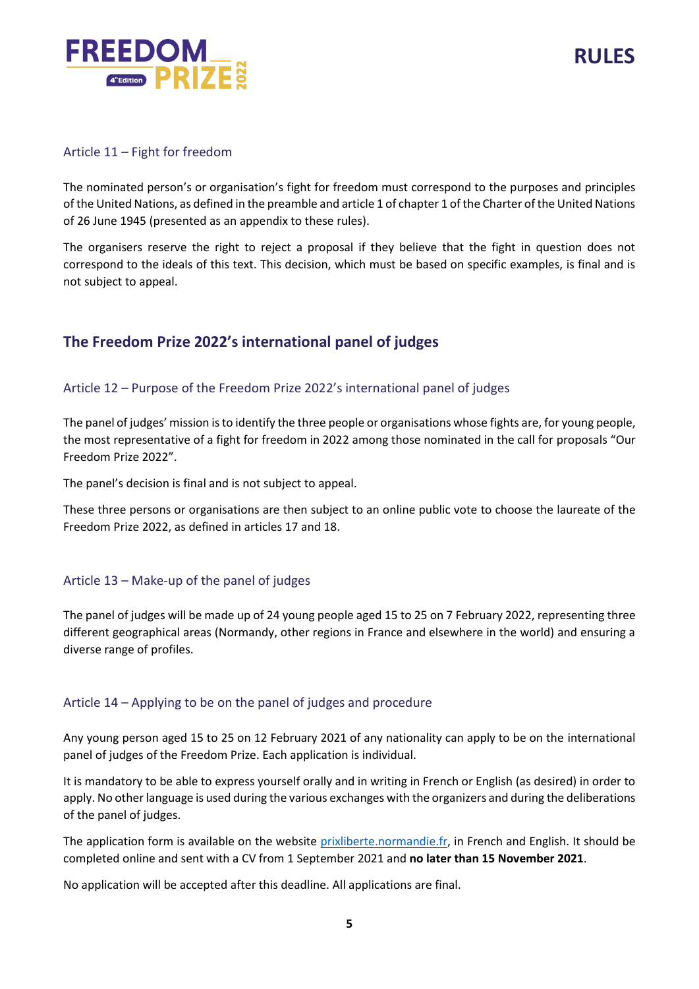

## Article 11 – Fight for freedom

The nominated person's or organisation's fight for freedom must correspond to the purposes and principles of the United Nations, as defined in the preamble and article 1 of chapter 1 of the Charter of the United Nations of 26 June 1945 (presented as an appendix to these rules).

The organisers reserve the right to reject a proposal if they believe that the fight in question does not correspond to the ideals of this text. This decision, which must be based on specific examples, is final and is not subject to appeal.

# **The Freedom Prize 2022's international panel of judges**

## Article 12 – Purpose of the Freedom Prize 2022's international panel of judges

The panel of judges' mission is to identify the three people or organisations whose fights are, for young people, the most representative of a fight for freedom in 2022 among those nominated in the call for proposals "Our Freedom Prize 2022".

The panel's decision is final and is not subject to appeal.

These three persons or organisations are then subject to an online public vote to choose the laureate of the Freedom Prize 2022, as defined in articles 17 and 18.

#### Article 13 – Make-up of the panel of judges

The panel of judges will be made up of 24 young people aged 15 to 25 on 7 February 2022, representing three different geographical areas (Normandy, other regions in France and elsewhere in the world) and ensuring a diverse range of profiles.

#### Article 14 – Applying to be on the panel of judges and procedure

Any young person aged 15 to 25 on 12 February 2021 of any nationality can apply to be on the international panel of judges of the Freedom Prize. Each application is individual.

It is mandatory to be able to express yourself orally and in writing in French or English (as desired) in order to apply. No other language is used during the various exchanges with the organizers and during the deliberations of the panel of judges.

The application form is available on the website [prixliberte.normandie.fr,](http://www.prixliberte.normandie.fr/) in French and English. It should be completed online and sent with a CV from 1 September 2021 and **no later than 15 November 2021**.

No application will be accepted after this deadline. All applications are final.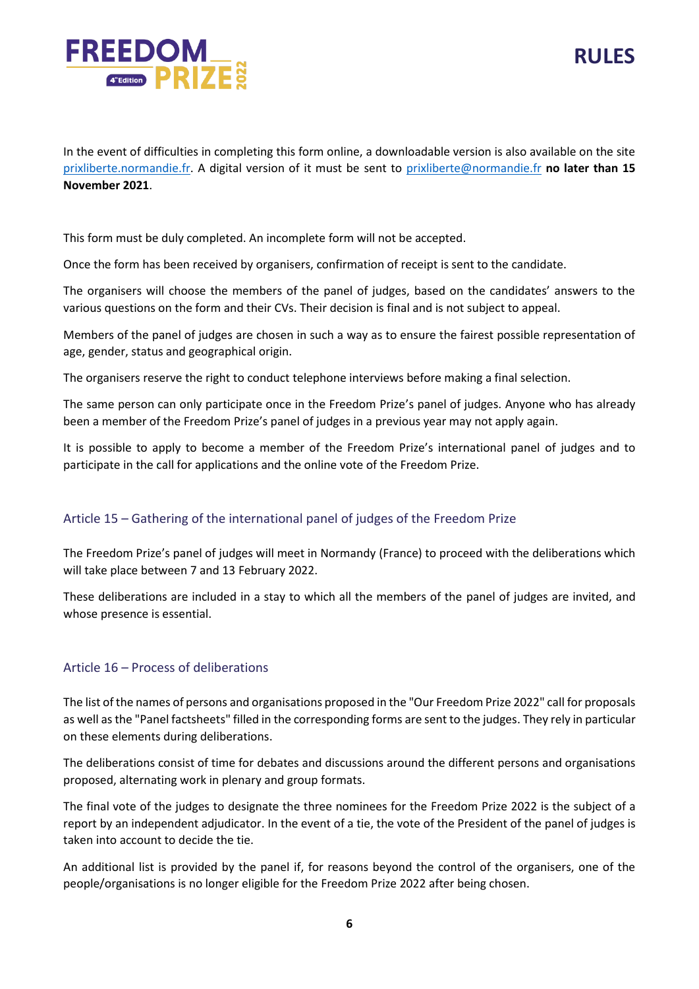

In the event of difficulties in completing this form online, a downloadable version is also available on the site [prixliberte.normandie.fr.](http://www.prixliberte.normandie.fr/) A digital version of it must be sent to [prixliberte@normandie.fr](mailto:prixliberte@normandie.fr) **no later than 15 November 2021**.

This form must be duly completed. An incomplete form will not be accepted.

Once the form has been received by organisers, confirmation of receipt is sent to the candidate.

The organisers will choose the members of the panel of judges, based on the candidates' answers to the various questions on the form and their CVs. Their decision is final and is not subject to appeal.

Members of the panel of judges are chosen in such a way as to ensure the fairest possible representation of age, gender, status and geographical origin.

The organisers reserve the right to conduct telephone interviews before making a final selection.

The same person can only participate once in the Freedom Prize's panel of judges. Anyone who has already been a member of the Freedom Prize's panel of judges in a previous year may not apply again.

It is possible to apply to become a member of the Freedom Prize's international panel of judges and to participate in the call for applications and the online vote of the Freedom Prize.

## Article 15 – Gathering of the international panel of judges of the Freedom Prize

The Freedom Prize's panel of judges will meet in Normandy (France) to proceed with the deliberations which will take place between 7 and 13 February 2022.

These deliberations are included in a stay to which all the members of the panel of judges are invited, and whose presence is essential.

## Article 16 – Process of deliberations

The list of the names of persons and organisations proposed in the "Our Freedom Prize 2022" call for proposals as well as the "Panel factsheets" filled in the corresponding forms are sent to the judges. They rely in particular on these elements during deliberations.

The deliberations consist of time for debates and discussions around the different persons and organisations proposed, alternating work in plenary and group formats.

The final vote of the judges to designate the three nominees for the Freedom Prize 2022 is the subject of a report by an independent adjudicator. In the event of a tie, the vote of the President of the panel of judges is taken into account to decide the tie.

An additional list is provided by the panel if, for reasons beyond the control of the organisers, one of the people/organisations is no longer eligible for the Freedom Prize 2022 after being chosen.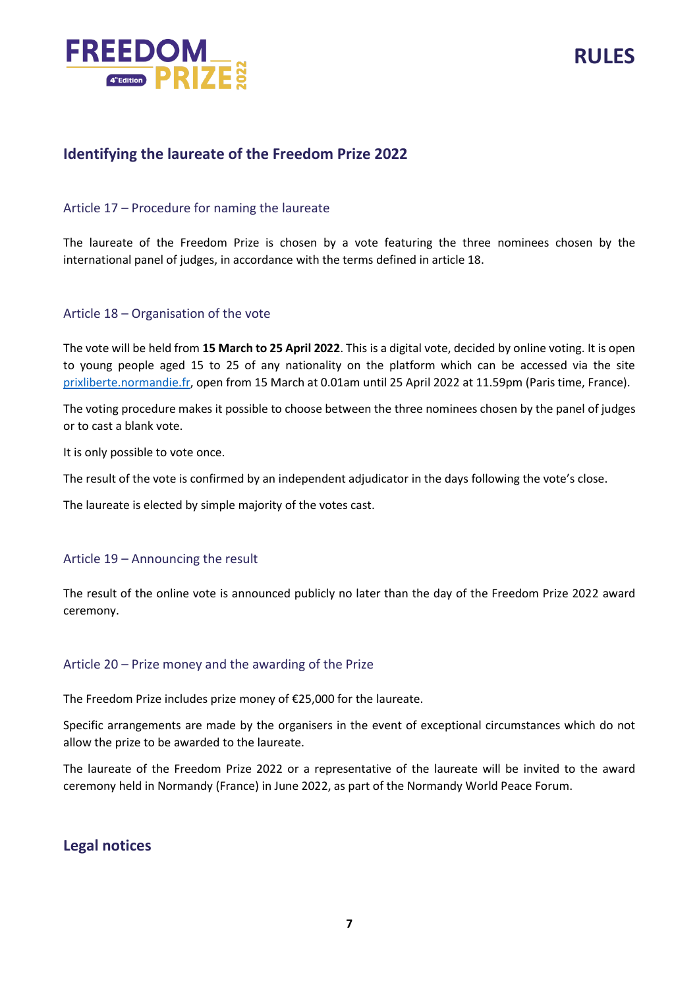

## **Identifying the laureate of the Freedom Prize 2022**

#### Article 17 – Procedure for naming the laureate

The laureate of the Freedom Prize is chosen by a vote featuring the three nominees chosen by the international panel of judges, in accordance with the terms defined in article 18.

## Article 18 – Organisation of the vote

The vote will be held from **15 March to 25 April 2022**. This is a digital vote, decided by online voting. It is open to young people aged 15 to 25 of any nationality on the platform which can be accessed via the site [prixliberte.normandie.fr,](https://normandiepourlapaix.fr/en/presentation-prize) open from 15 March at 0.01am until 25 April 2022 at 11.59pm (Paris time, France).

The voting procedure makes it possible to choose between the three nominees chosen by the panel of judges or to cast a blank vote.

It is only possible to vote once.

The result of the vote is confirmed by an independent adjudicator in the days following the vote's close.

The laureate is elected by simple majority of the votes cast.

#### Article 19 – Announcing the result

The result of the online vote is announced publicly no later than the day of the Freedom Prize 2022 award ceremony.

#### Article 20 – Prize money and the awarding of the Prize

The Freedom Prize includes prize money of €25,000 for the laureate.

Specific arrangements are made by the organisers in the event of exceptional circumstances which do not allow the prize to be awarded to the laureate.

The laureate of the Freedom Prize 2022 or a representative of the laureate will be invited to the award ceremony held in Normandy (France) in June 2022, as part of the Normandy World Peace Forum.

# **Legal notices**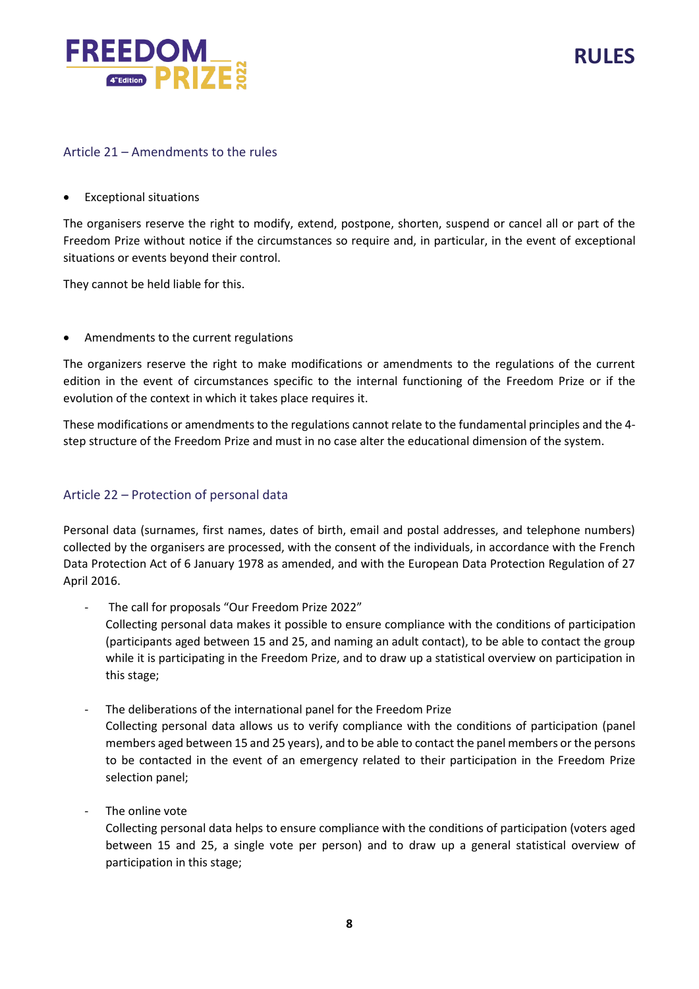

## Article 21 – Amendments to the rules

• Exceptional situations

The organisers reserve the right to modify, extend, postpone, shorten, suspend or cancel all or part of the Freedom Prize without notice if the circumstances so require and, in particular, in the event of exceptional situations or events beyond their control.

They cannot be held liable for this.

• Amendments to the current regulations

The organizers reserve the right to make modifications or amendments to the regulations of the current edition in the event of circumstances specific to the internal functioning of the Freedom Prize or if the evolution of the context in which it takes place requires it.

These modifications or amendments to the regulations cannot relate to the fundamental principles and the 4 step structure of the Freedom Prize and must in no case alter the educational dimension of the system.

## Article 22 – Protection of personal data

Personal data (surnames, first names, dates of birth, email and postal addresses, and telephone numbers) collected by the organisers are processed, with the consent of the individuals, in accordance with the French Data Protection Act of 6 January 1978 as amended, and with the European Data Protection Regulation of 27 April 2016.

- The call for proposals "Our Freedom Prize 2022" Collecting personal data makes it possible to ensure compliance with the conditions of participation (participants aged between 15 and 25, and naming an adult contact), to be able to contact the group while it is participating in the Freedom Prize, and to draw up a statistical overview on participation in this stage;
- The deliberations of the international panel for the Freedom Prize Collecting personal data allows us to verify compliance with the conditions of participation (panel members aged between 15 and 25 years), and to be able to contact the panel members or the persons to be contacted in the event of an emergency related to their participation in the Freedom Prize selection panel;
- The online vote

Collecting personal data helps to ensure compliance with the conditions of participation (voters aged between 15 and 25, a single vote per person) and to draw up a general statistical overview of participation in this stage;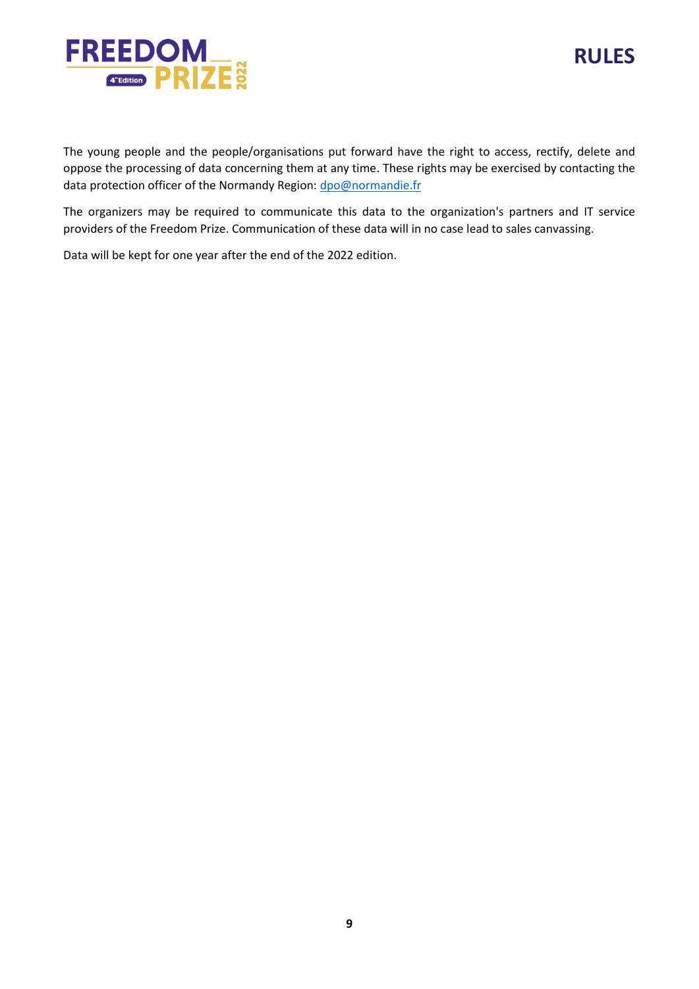

The young people and the people/organisations put forward have the right to access, rectify, delete and oppose the processing of data concerning them at any time. These rights may be exercised by contacting the data protection officer of the Normandy Region: [dpo@normandie.fr](mailto:dpo@normandie.fr)

The organizers may be required to communicate this data to the organization's partners and IT service providers of the Freedom Prize. Communication of these data will in no case lead to sales canvassing.

Data will be kept for one year after the end of the 2022 edition.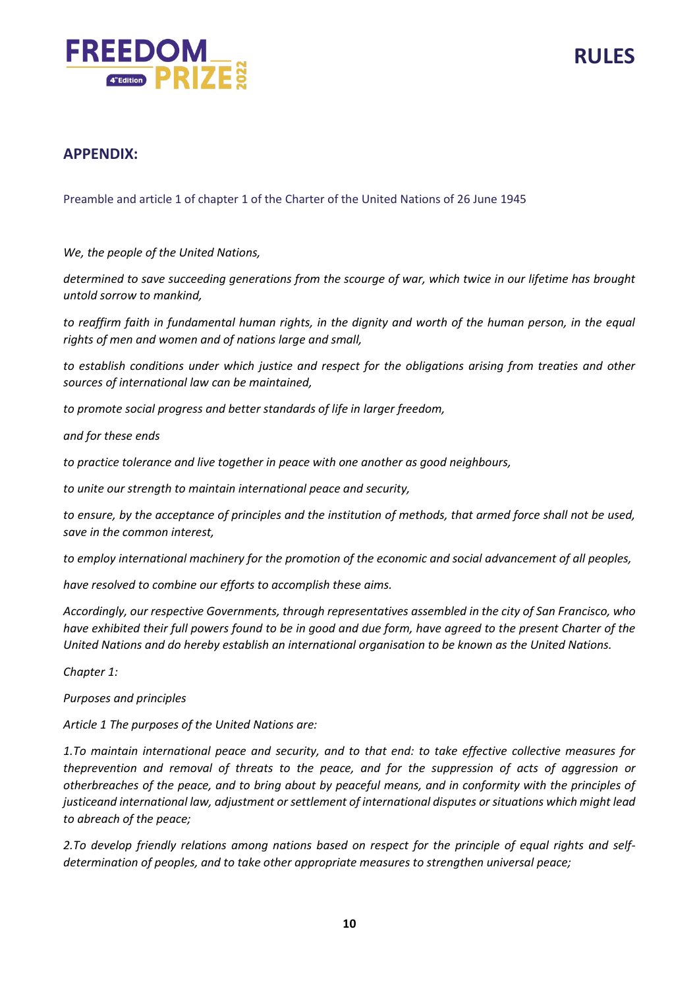

## **APPENDIX:**

Preamble and article 1 of chapter 1 of the Charter of the United Nations of 26 June 1945

*We, the people of the United Nations,* 

*determined to save succeeding generations from the scourge of war, which twice in our lifetime has brought untold sorrow to mankind,* 

*to reaffirm faith in fundamental human rights, in the dignity and worth of the human person, in the equal rights of men and women and of nations large and small,* 

*to establish conditions under which justice and respect for the obligations arising from treaties and other sources of international law can be maintained,* 

*to promote social progress and better standards of life in larger freedom,* 

*and for these ends* 

*to practice tolerance and live together in peace with one another as good neighbours,* 

*to unite our strength to maintain international peace and security,* 

*to ensure, by the acceptance of principles and the institution of methods, that armed force shall not be used, save in the common interest,* 

*to employ international machinery for the promotion of the economic and social advancement of all peoples,* 

*have resolved to combine our efforts to accomplish these aims.* 

*Accordingly, our respective Governments, through representatives assembled in the city of San Francisco, who have exhibited their full powers found to be in good and due form, have agreed to the present Charter of the United Nations and do hereby establish an international organisation to be known as the United Nations.* 

*Chapter 1:* 

*Purposes and principles* 

*Article 1 The purposes of the United Nations are:* 

*1.To maintain international peace and security, and to that end: to take effective collective measures for theprevention and removal of threats to the peace, and for the suppression of acts of aggression or otherbreaches of the peace, and to bring about by peaceful means, and in conformity with the principles of justiceand international law, adjustment or settlement of international disputes or situations which might lead to abreach of the peace;*

*2.To develop friendly relations among nations based on respect for the principle of equal rights and selfdetermination of peoples, and to take other appropriate measures to strengthen universal peace;*